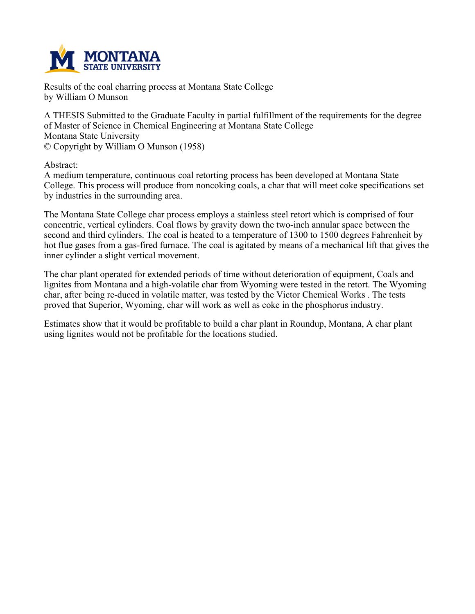

**Results of the coal charring process at Montana State College by William O Munson**

**A THESIS Submitted to the Graduate Faculty in partial fulfillment of the requirements for the degree of Master of Science in Chemical Engineering at Montana State College Montana State University © Copyright by William O Munson (1958)**

**Abstract:**

**A medium temperature, continuous coal retorting process has been developed at Montana State College. This process will produce from noncoking coals, a char that will meet coke specifications set by industries in the surrounding area.**

**The Montana State College char process employs a stainless steel retort which is comprised of four concentric, vertical cylinders. Coal flows by gravity down the two-inch annular space between the** second and third cylinders. The coal is heated to a temperature of 1300 to 1500 degrees Fahrenheit by hot flue gases from a gas-fired furnace. The coal is agitated by means of a mechanical lift that gives the **inner cylinder a slight vertical movement.**

**The char plant operated for extended periods of time without deterioration of equipment, Coals and lignites from Montana and a high-volatile char from Wyoming were tested in the retort. The Wyoming char, after being re-duced in volatile matter, was tested by the Victor Chemical Works . The tests proved that Superior, Wyoming, char will work as well as coke in the phosphorus industry.**

**Estimates show that it would be profitable to build a char plant in Roundup, Montana, A char plant using lignites would not be profitable for the locations studied.**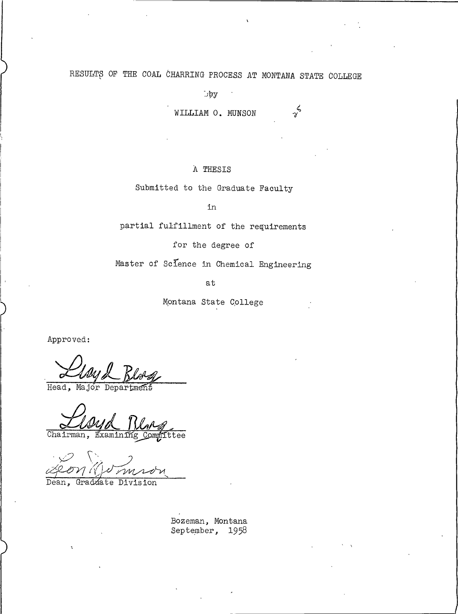# RESULTS OF THE COAL CHARRING PROCESS AT MONTANA STATE COLLEGE

 $\log$ 

WILLIAM O. MUNSON

 $\gamma^6$ 

### A THESIS

Submitted to the Graduate Faculty

in

partial fulfillment of the requirements

for the degree of

Master of Science in Chemical Engineering

at

Montana State College

Approved:

Head, Major Depar

Chairman, Examinir ttee

Dean. Graduate Division

Bozeman, Montana September, 1958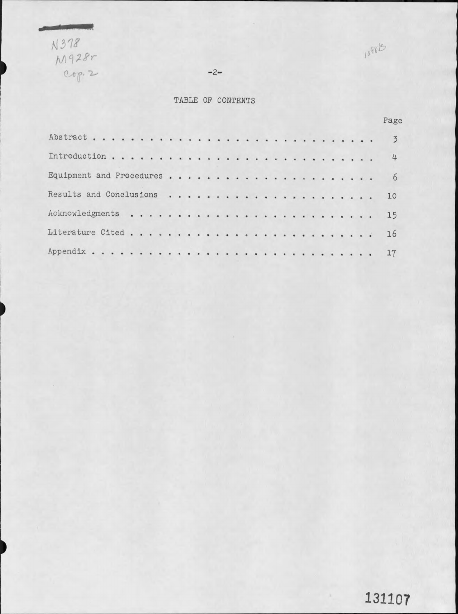N378<br>M928r<br>Cop. 2

1098B

 $-2-$ 

### TABLE OF CONTENTS

|  |  |  |  |  |  |  |  |  |  |  | Page        |
|--|--|--|--|--|--|--|--|--|--|--|-------------|
|  |  |  |  |  |  |  |  |  |  |  | $3^{\circ}$ |
|  |  |  |  |  |  |  |  |  |  |  | 4           |
|  |  |  |  |  |  |  |  |  |  |  | 6           |
|  |  |  |  |  |  |  |  |  |  |  | 10          |
|  |  |  |  |  |  |  |  |  |  |  | 15          |
|  |  |  |  |  |  |  |  |  |  |  | 16          |
|  |  |  |  |  |  |  |  |  |  |  | 17          |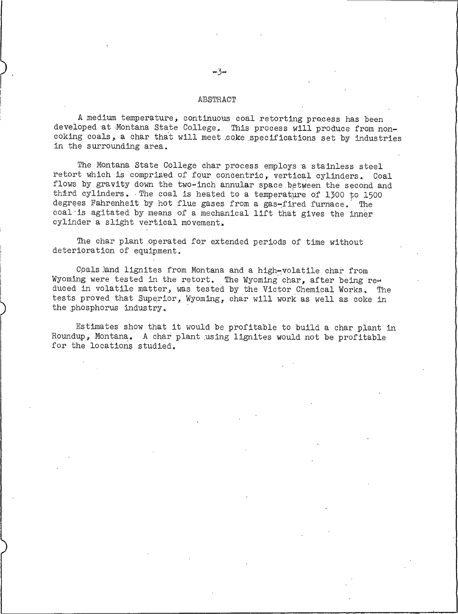#### ABSTRACT

A medium temperature, continuous coal retorting process has been developed at Montana State College. This process will produce from noncoking coals, a char that will meet coke specifications set by industries in the surrounding area.

The Montana State College char process employs a stainless steel retort which is comprised of four concentric, vertical cylinders. Coal flows by gravity down the two-inch annular space between the second and third cylinders. The coal is heated to a temperature of 1300 to 1500 degrees Fahrenheit by hot flue gases from a gas-fired furnace. The coal is agitated by means of a mechanical lift that gives the inner cylinder a slight vertical movement.

The char plant operated for extended periods of time without deterioration of equipment.

Coals land lignites from Montana and a high-volatile char from Wyoming were tested in the retort. The Wyoming char, after being reduced in volatile matter, was tested by the Victor Chemical Works. The tests proved that Superior, Wyoming, char will work as well as coke in the phosphorus industry.

Estimates show that it would be profitable to build a char plant in Roundup, Montana. A char plant using lignites would not be profitable for the locations studied.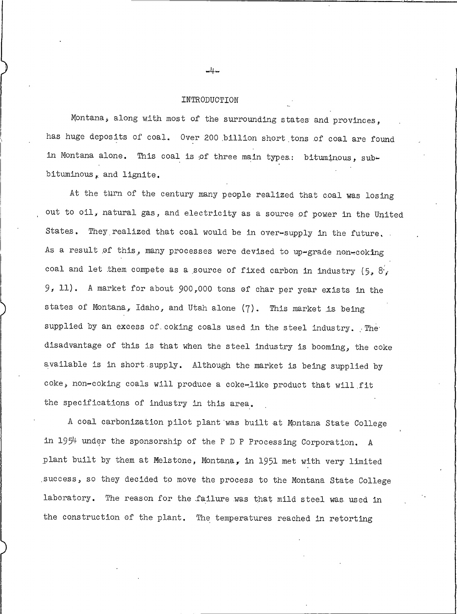#### INTRODUCTION

Montana, along with most of the surrounding states and provinces, has huge deposits of coal. Over 200 billion short tons of coal are found in Montana alone. This coal is of three main types: bituminous. subbituminous, and lignite.

At the turn of the century many people realized that coal was losing out to oil, natural gas, and electricity as a source of power in the United States. They realized that coal would be in over-supply in the future. As a result of this, many processes were devised to up-grade non-coking coal and let them compete as a source of fixed carbon in industry  $(5, 8)$ 9, 11). A market for about 900,000 tons of char per year exists in the states of Montana, Idaho, and Utah alone (7). This market is being supplied by an excess of coking coals used in the steel industry. The disadvantage of this is that when the steel industry is booming, the coke available is in short supply. Although the market is being supplied by coke, non-coking coals will produce a coke-like product that will fit the specifications of industry in this area.

A coal carbonization pilot plant was built at Montana State College in 1954 under the sponsorship of the P D P Processing Corporation. A plant built by them at Melstone, Montana, in 1951 met with very limited success, so they decided to move the process to the Montana State College laboratory. The reason for the failure was that mild steel was used in the construction of the plant. The temperatures reached in retorting

 $-4-$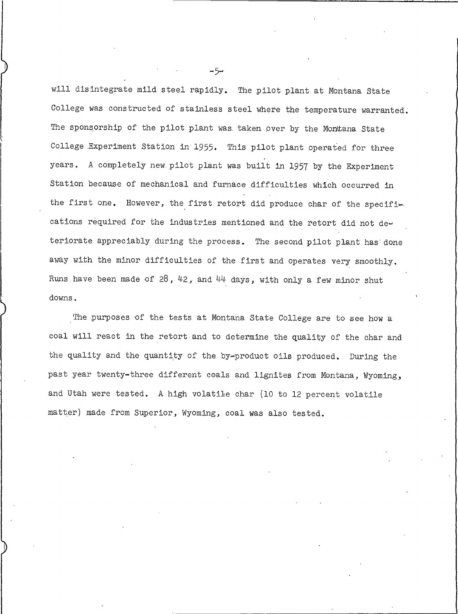will disintegrate mild steel rapidly. The pilot plant at Montana State College was constructed of stainless steel where the temperature warranted. The sponsorship of the pilot plant was taken over by the Montana State College Experiment Station in 1955. This pilot plant operated for three years. A completely new pilot plant was built in 1957 by the Experiment Station because of mechanical and furnace difficulties which occurred in the first one. However, the first retort did produce char of the specifications required for the industries mentioned and the retort did not deteriorate appreciably during the process. The second pilot plant has done away with the minor difficulties of the first and operates very smoothly. Runs have been made of 28, 42, and 44 days, with only a few minor shut downs.

The purposes of the tests at Montana State College are to see how a coal will react in the retort and to determine the quality of the char and the quality and the quantity of the by-product oils produced. During the past year twenty-three different coals and lignites from Montana, Wyoming, and Utah were tested. A high volatile char (10 to 12 percent volatile matter) made from Superior, Wyoming, coal was also tested.

 $-5-$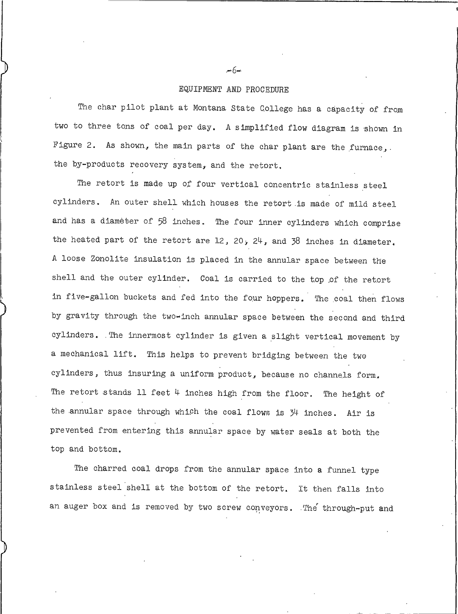### EQUIPMENT AND PROCEDURE

The char pilot plant at Montana State College has a capacity of from two to three tons of coal per day. A simplified flow diagram is shown in Figure 2. As shown, the main parts of the char plant are the furnace, the by-products recovery system, and the retort.

The retort is made up of four vertical concentric stainless steel cylinders. An outer shell which houses the retort is made of mild steel and has a diameter of 58 inches. The four inner cylinders which comprise the heated part of the retort are 12, 20,  $24$ , and 38 inches in diameter. A loose Zonolite insulation is placed in the annular space between the shell and the outer cylinder. Coal is carried to the top of the retort in five-gallon buckets and fed into the four hoppers. The coal then flows by gravity through the two-inch annular space between the second and third cylinders. The innermost cylinder is given a slight vertical movement by a mechanical lift. This helps to prevent bridging between the two cylinders, thus insuring a uniform product, because no channels form. The retort stands 11 feet  $4$  inches high from the floor. The height of the annular space through which the coal flows is 34 inches. Air is prevented from entering this annular space by water seals at both the top and bottom.

The charred coal drops from the annular space into a funnel type stainless steel shell at the bottom of the retort. It then falls into an auger box and is removed by two screw conveyors. The through-put and

 $-6-$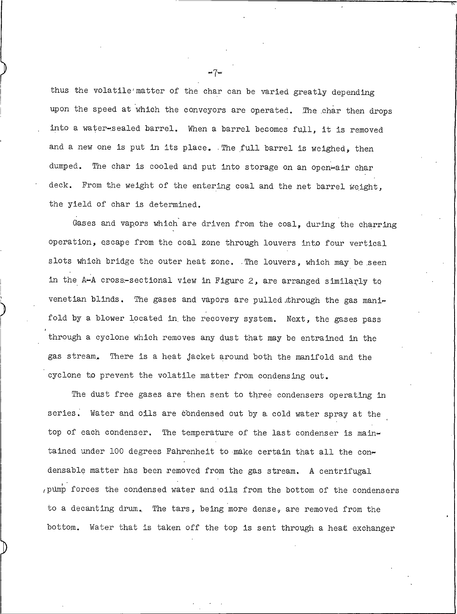thus the volatile matter of the char can be varied greatly depending upon the speed at which the conveyors are operated. The char then drops into a water-sealed barrel. When a barrel becomes full, it is removed and a new one is put in its place. The full barrel is weighed, then dumped. The char is cooled and put into storage on an open-air char deck. From the weight of the entering coal and the net barrel weight, the yield of char is determined.

Gases and vapors which are driven from the coal, during the charring operation, escape from the coal zone through louvers into four vertical slots which bridge the outer heat zone. The louvers, which may be seen in the A-A cross-sectional view in Figure 2, are arranged similarly to venetian blinds. The gases and vapors are pulled through the gas manifold by a blower located in the recovery system. Next, the gases pass through a cyclone which removes any dust that may be entrained in the gas stream. There is a heat jacket around both the manifold and the cyclone to prevent the volatile matter from condensing out.

The dust free gases are then sent to three condensers operating in series. Water and oils are condensed out by a cold water spray at the top of each condenser. The temperature of the last condenser is maintained under 100 degrees Fahrenheit to make certain that all the condensable matter has been removed from the gas stream. A centrifugal pump forces the condensed water and oils from the bottom of the condensers to a decanting drum. The tars, being more dense, are removed from the bottom. Water that is taken off the top is sent through a heat exchanger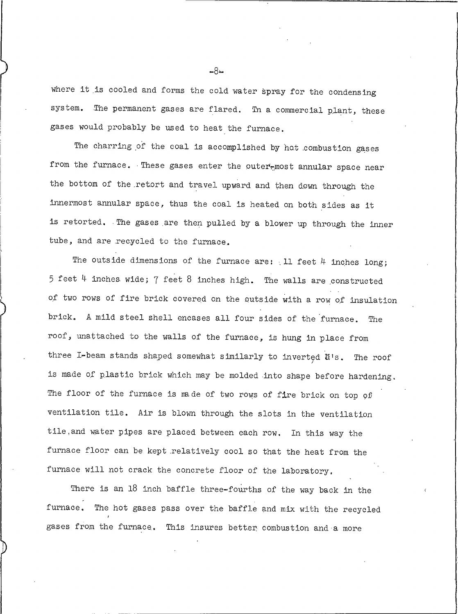where it is cooled and forms the cold water spray for the condensing system. The permanent gases are flared. Th a commercial plant, these gases would probably be used to heat the furnace.

The charring of the coal is accomplished by hot combustion gases from the furnace. These gases enter the outer-most annular space near the bottom of the retort and travel upward and then down through the innermost annular space, thus the coal is heated on both sides as it is retorted. The gases are then pulled by a blower up through the inner tube, and are recycled to the furnace.

The outside dimensions of the furnace are:  $11$  feet  $4$  inches long;  $5$  feet 4 inches wide; 7 feet 8 inches high. The walls are constructed of two rows of fire brick covered on the outside with a row of insulation brick. A mild steel shell encases all four sides of the furnace. The roof, unattached to the walls of the furnace, is hung in place from three I-beam stands shaped somewhat similarly to inverted U's. The roof is made of plastic brick which may be molded into shape before hardening. The floor of the furnace is made of two rows of fire brick on top of ventilation tile. Air is blown through the slots in the ventilation tile, and water pipes are placed between each row. In this way the furnace floor can be kept relatively cool so that the heat from the furnace will not crack the concrete floor of the laboratory.

There is an 18 inch baffle three-fourths of the way back in the furnace. The hot gases pass over the baffle and mix with the recycled gases from the furnace. This insures better combustion and a more

 $-8-$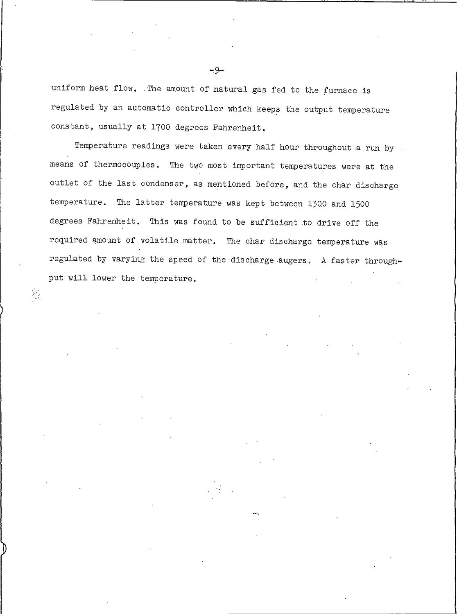uniform heat flow. The amount of natural gas fed to the furnace is regulated by an automatic controller which keeps the output temperature constant, usually at 1700 degrees Fahrenheit.

Temperature readings were taken every half hour throughout a run by means of thermocouples. The two most important temperatures were at the outlet of the last condenser, as mentioned before, and the char discharge temperature. The latter temperature was kept between 1300 and 1500 degrees Fahrenheit. This was found to be sufficient to drive off the required amount of volatile matter. The char discharge temperature was regulated by varying the speed of the discharge augers. A faster throughput will lower the temperature.

 $\sum_{i=1}^n \frac{1}{i}$ 

 $-9-$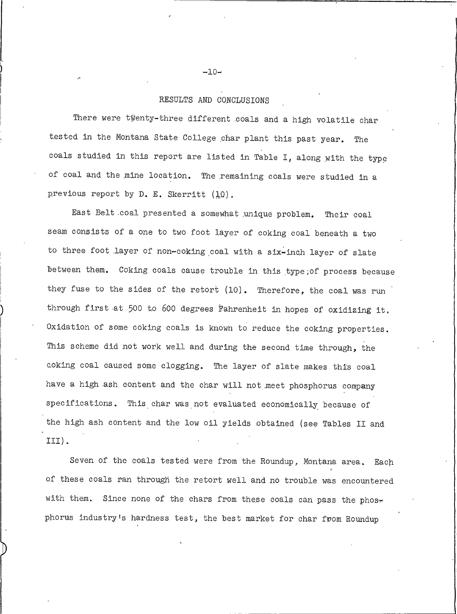### RESULTS AND CONCLUSIONS

There were twenty-three different coals and a high volatile char tested in the Montana State College char plant this past year. The coals studied in this report are listed in Table I, along with the type of coal and the mine location. The remaining coals were studied in a previous report by D. E. Skerritt (10).

East Belt coal presented a somewhat unique problem. Their coal seam consists of a one to two foot layer of coking coal beneath a two to three foot layer of non-coking coal with a six-inch layer of slate between them. Coking coals cause trouble in this type; of process because they fuse to the sides of the retort (10). Therefore, the coal was run through first at 500 to 600 degrees Fahrenheit in hopes of oxidizing it. Oxidation of some coking coals is known to reduce the coking properties. This scheme did not work well and during the second time through, the coking coal caused some clogging. The layer of slate makes this coal have a high ash content and the char will not meet phosphorus company specifications. This char was not evaluated economically because of the high ash content and the low oil yields obtained (see Tables II and III).

Seven of the coals tested were from the Roundup, Montana area. Each of these coals ran through the retort well and no trouble was encountered with them. Since none of the chars from these coals can pass the phosphorus industry's hardness test, the best market for char from Roundup

 $-10-$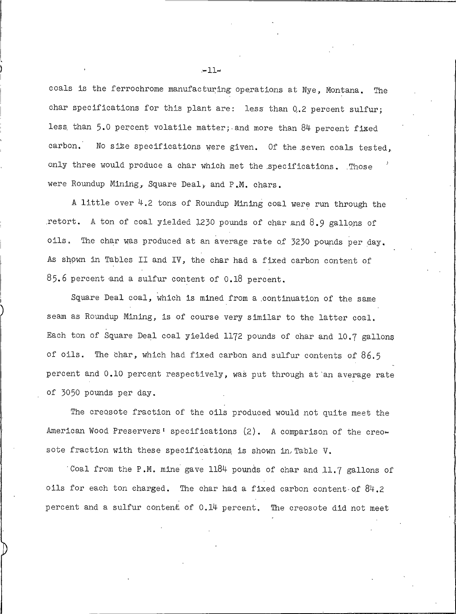coals is the ferrochrome manufacturing operations at Nye, Montana. The char specifications for this plant are: less than 0.2 percent sulfur; less than 5.0 percent volatile matter; and more than 84 percent fixed carbon. No size specifications were given. Of the seven coals tested, only three would produce a char which met the specifications. Those were Roundup Mining, Square Deal, and P.M. chars.

A little over 4.2 tons of Roundup Mining coal were run through the retort. A ton of coal yielded 1230 pounds of char and 8.9 gallons of oils. The char was produced at an average rate of 3230 pounds per day. As shown in Tables II and IV, the char had a fixed carbon content of 85.6 percent and a sulfur content of 0.18 percent.

Square Deal coal, which is mined from a continuation of the same seam as Roundup Mining, is of course very similar to the latter coal. Each ton of Square Deal coal yielded 1172 pounds of char and 10.7 gallons of oils. The char, which had fixed carbon and sulfur contents of 86.5 percent and 0.10 percent respectively, was put through at an average rate of 3050 pounds per day.

The creosote fraction of the oils produced would not quite meet the American Wood Preservers' specifications (2). A comparison of the creosote fraction with these specifications is shown in Table V.

Coal from the P.M. mine gave 1184 pounds of char and 11.7 gallons of oils for each ton charged. The char had a fixed carbon content of 84.2 percent and a sulfur content of 0.14 percent. The creosote did not meet

 $-11-$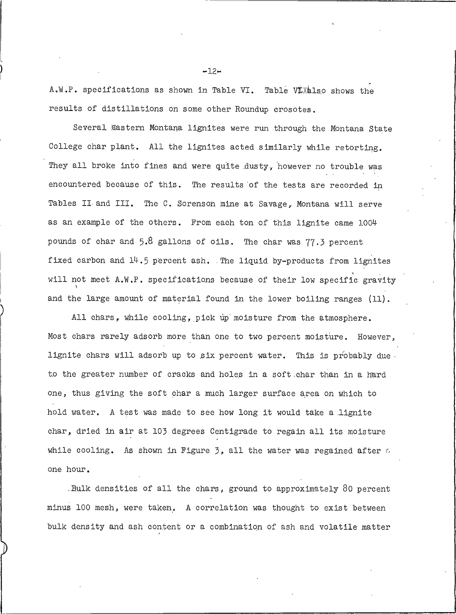A.W.P. specifications as shown in Table VI. Table Vilalso shows the results of distillations on some other Roundup crosotes.

Several Gastern Montana lignites were run through the Montana State College char plant. All the lignites acted similarly while retorting. They all broke into fines and were quite dusty, however no trouble was encountered because of this. The results of the tests are recorded in Tables II and III. The C. Sorenson mine at Savage, Montana will serve as an example of the others. From each ton of this lignite came 1004 pounds of char and 5.8 gallons of oils. The char was 77.3 percent fixed carbon and 14.5 percent ash. The liquid by-products from lignites will not meet A.W.P. specifications because of their low specific gravity and the large amount of material found in the lower boiling ranges (11).

All chars, while cooling, pick up moisture from the atmosphere. Most chars rarely adsorb more than one to two percent moisture. However, lignite chars will adsorb up to six percent water. This is probably due. to the greater number of cracks and holes in a soft char than in a hard one, thus giving the soft char a much larger surface area on which to hold water. A test was made to see how long it would take a lignite char, dried in air at 103 degrees Centigrade to regain all its moisture while cooling. As shown in Figure  $\beta$ , all the water was regained after  $\alpha$ one hour.

.Bulk densities of all the chars, ground to approximately 80 percent minus 100 mesh, were taken. A correlation was thought to exist between bulk density and ash content or a combination of ash and volatile matter

 $-12-$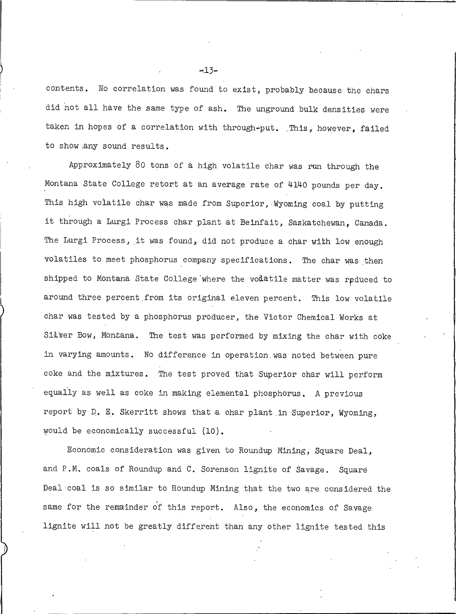contents. No correlation was found to exist, probably because the chars did not all have the same type of ash. The unground bulk densities were taken in hopes of a correlation with through-put. This, however, failed to show any sound results.

Approximately 80 tons of a high volatile char was run through the Montana State College retort at an average rate of 4140 pounds per day. This high volatile char was made from Superior, Wyoming coal by putting it through a Lurgi Process char plant at Beinfait, Saskatchewan, Canada. The Lurgi Process, it was found, did not produce a char with low enough volatiles to meet phosphorus company specifications. The char was then shipped to Montana State College where the volatile matter was reduced to around three percent from its original eleven percent. This low volatile char was tested by a phosphorus producer, the Victor Chemical Works at Silver Bow, Montana. The test was performed by mixing the char with coke in varying amounts. No difference in operation was noted between pure coke and the mixtures. The test proved that Superior char will perform equally as well as coke in making elemental phosphorus. A previous report by D. E. Skerritt shows that a char plant in Superior, Wyoming, would be economically successful (10).

Economic consideration was given to Roundup Mining, Square Deal, and P.M. coals of Roundup and C. Sorenson lignite of Savage. Square Deal coal is so similar to Roundup Mining that the two are considered the same for the remainder of this report. Also, the economics of Savage lignite will not be greatly different than any other lignite tested this

 $-13-$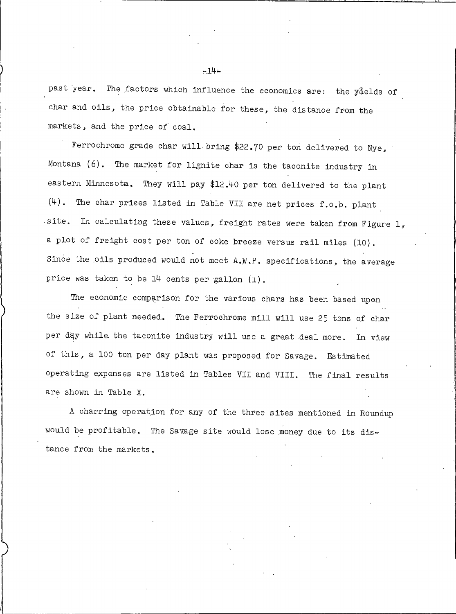past year. The factors which influence the economics are: the yields of char and oils, the price obtainable for these, the distance from the markets, and the price of coal.

Ferrochrome grade char will bring \$22.70 per ton delivered to Nye, Montana (6). The market for lignite char is the taconite industry in eastern Minnesota. They will pay \$12.40 per ton delivered to the plant (4). The char prices listed in Table VII are net prices f.o.b. plant site. In calculating these values, freight rates were taken from Figure 1, a plot of freight cost per ton of coke breeze versus rail miles (10). Since the oils produced would not meet A.W.P. specifications, the average price was taken to be 14 cents per gallon (1).

The economic comparison for the various chars has been based upon the size of plant needed. The Ferrochrome mill will use 25 tons of char per day while the taconite industry will use a great deal more. In view of this, a 100 ton per day plant was proposed for Savage. Estimated operating expenses are listed in Tables VII and VIII. The final results are shown in Table X.

A charring operation for any of the three sites mentioned in Roundup would be profitable. The Savage site would lose money due to its distance from the markets.

 $-14 -$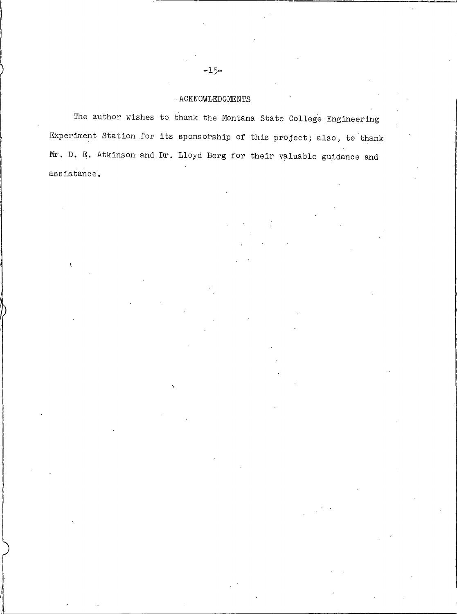### ACKNOWLEDGMENTS

The author wishes to thank the Montana State College Engineering Experiment Station for its sponsorship of this project; also, to thank Mr. D. E. Atkinson and Dr. Lloyd Berg for their valuable guidance and assistance.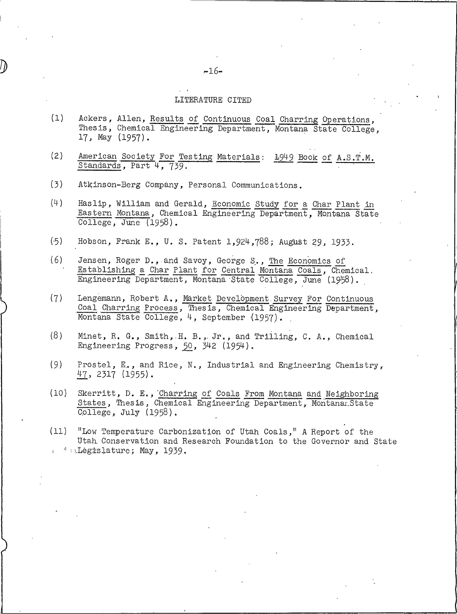### LITERATURE CITED

- $(1)$ Ackers, Allen, Results of Continuous Coal Charring Operations, Thesis, Chemical Engineering Department, Montana State College, 17, May (1957).
- $(2)$ American Society For Testing Materials: 1949 Book of A.S.T.M. Standards, Part 4, 739.
- $(3)$ Atkinson-Berg Company, Personal Communications.
- $(4)$ Haslip, William and Gerald, Economic Study for a Char Plant in Eastern Montana, Chemical Engineering Department, Montana State  $\overline{\text{College}}$ , June (1958).
- $(.5)$ Hobson, Frank E., U. S. Patent 1,924,788; August 29, 1933.
- $(6)$ Jensen, Roger D., and Savoy, George S., The Economics of Establishing a Char Plant for Central Montana Coals, Chemical. Engineering Department, Montana State College, June (1958).
- $(7)$ Lengemann, Robert A., Market Development Survey For Continuous<br>Coal Charring Process, Thesis, Chemical Engineering Department, Montana State College, 4, September (1957).
- $(8)$ Minet, R. G., Smith, H. B., Jr., and Trilling, C. A., Chemical Engineering Progress, 50, 342 (1954).
- $(9)$ Prostel, E., and Rice, N., Industrial and Engineering Chemistry,  $47, 2317 (1955)$ .
- $(10)$ Skerritt, D. E., Charring of Coals From Montana and Neighboring States, Thesis, Chemical Engineering Department, Montanar State  $\overline{\text{College}}$ , July (1958).

"Low Temperature Carbonization of Utah Coals," A Report of the  $(11)$ Utah Conservation and Research Foundation to the Governor and State  $\cdot$  Legislature; May, 1939.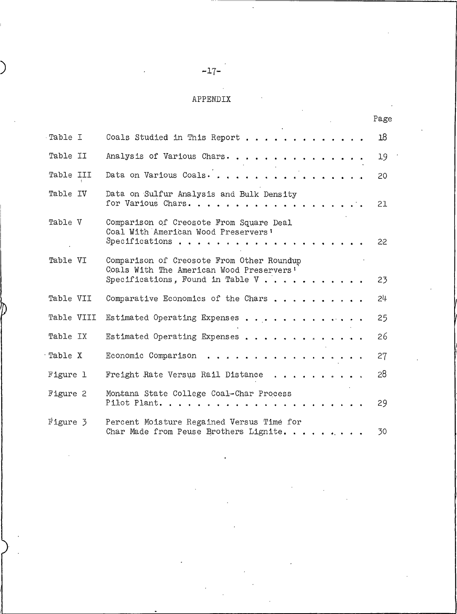## APPENDIX

|            |                                                                                                                            | Page |
|------------|----------------------------------------------------------------------------------------------------------------------------|------|
| Table I    | Coals Studied in This Report                                                                                               | 18   |
| Table II   | Analysis of Various Chars.                                                                                                 | 19   |
| Table III  | Data on Various Coals.                                                                                                     | 20   |
| Table IV   | Data on Sulfur Analysis and Bulk Density<br>for Various Chars.                                                             | 21   |
| Table V    | Comparison of Creosote From Square Deal<br>Coal With American Wood Preservers'<br>Specifications                           | 22   |
| Table VI   | Comparison of Creosote From Other Roundup<br>Coals With The American Wood Preservers'<br>Specifications, Found in Table V. | 23   |
| Table VII  | Comparative Economics of the Chars                                                                                         | 24   |
| Table VIII | Estimated Operating Expenses                                                                                               | 25   |
| Table IX   | Estimated Operating Expenses                                                                                               | 26   |
| Table X    | Economic Comparison<br>.                                                                                                   | 27   |
| Figure 1   | . <i>.</i><br>Freight Rate Versus Rail Distance                                                                            | 28   |
| Figure 2   | Montana State College Coal-Char Process<br>$P$ ilot Plant.                                                                 | 29   |
| Figure 3   | Percent Moisture Regained Versus Time for<br>Char Made from Peuse Brothers Lignite.                                        | 30   |

 $-17-$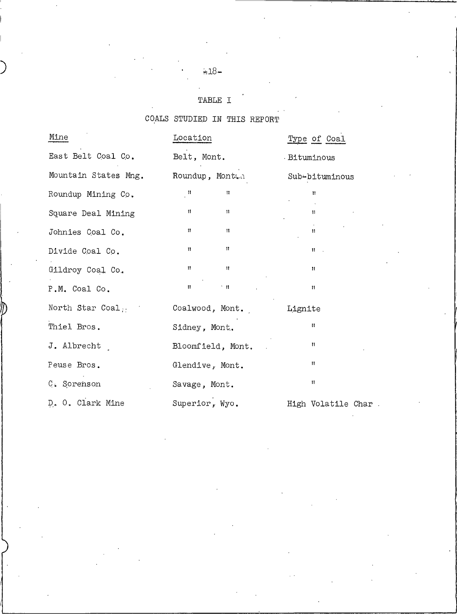# $\div 18-$

## TABLE I

# COALS STUDIED IN THIS REPORT

| Mine                     | Location                                | Type of Coal        |
|--------------------------|-----------------------------------------|---------------------|
| East Belt Coal Co.       | Belt, Mont.                             | . Bituminous        |
| Mountain States Mng.     | Roundup, Montan                         | Sub-bituminous      |
| Roundup Mining Co.       | $\mathbf{u}_1$<br>Ħ                     | $\mathbf{u}$        |
| Square Deal Mining       | $\mathbf{H}$<br>$\mathbf{H}$            | $\mathbf{H}$        |
| Johnies Coal Co.         | $\mathbf{H}$<br>$-11$                   | $^{\rm 11}$         |
| Divide Coal Co.          | $\sim 11$<br>$\mathbf{H}$               | $W = 1$             |
| Gildroy Coal Co.         | $\mathbf{H} = \mathbf{0}$<br>$\sim 100$ | $\mathbf{n}$        |
| P.M. Coal Co.            | $\mathbf{H}$<br>$\sim 11$ .             | $\mathbf{H}$        |
| North Star Coal $\cdots$ | Coalwood, Mont.                         | Lignite             |
| Thiel Bros.              | Sidney, Mont.                           | $\mathbf{u}$        |
| J. Albrecht              | Bloomfield, Mont.                       | n                   |
| Peuse Bros.              | Glendive, Mont.                         | Ħ                   |
| C. Sorenson              | Savage, Mont.                           | $\mathbf{H}$        |
| D. O. Clark Mine         | Superior, Wyo.                          | High Volatile Char. |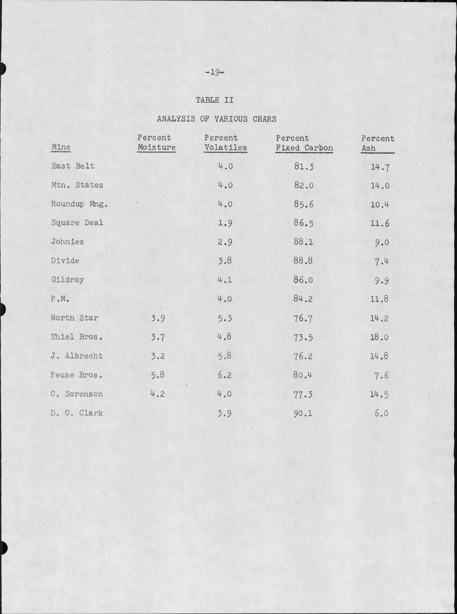## TABLE II

| ANALISIS OF VARIOUS CHARS |  |  |
|---------------------------|--|--|
|                           |  |  |

| Mine         | Percent<br>Moisture | Percent<br>Volatiles | Percent<br>Fixed Carbon | Percent<br>Ash |
|--------------|---------------------|----------------------|-------------------------|----------------|
| East Belt    |                     | 4.0                  | 81.3                    | 14.7           |
| Mtn. States  |                     | 4.0                  | 82.0                    | 14.0           |
| Roundup Mng. |                     | 4.0                  | 85.6                    | 10.4           |
| Square Deal  |                     | 1.9                  | 86.5                    | 11.6           |
| Johnies      |                     | 2.9                  | 88.1                    | 9.0            |
| Divide       |                     | 3.8                  | 88.8                    | 7.4            |
| Gildroy      |                     | 4.1                  | 86.0                    | 9.9            |
| $P$ .M.      |                     | 4.0                  | 84.2                    | 11.8           |
| North Star   | 3.9                 | 5.3                  | 76.7                    | 14.2           |
| Thiel Bros.  | 3.7                 | 4.8                  | 73.5                    | 18.0           |
| J. Albrecht  | 3.2                 | 5.8                  | 76.2                    | 14.8           |
| Peuse Bros.  | 5.8                 | 6.2                  | 80.4                    | 7.6            |
| C. Sorenson  | 4.2                 | 4.0                  | 77.3                    | 14.5           |
| D. O. Clark  |                     | 3.9                  | 90.1                    | 6.0            |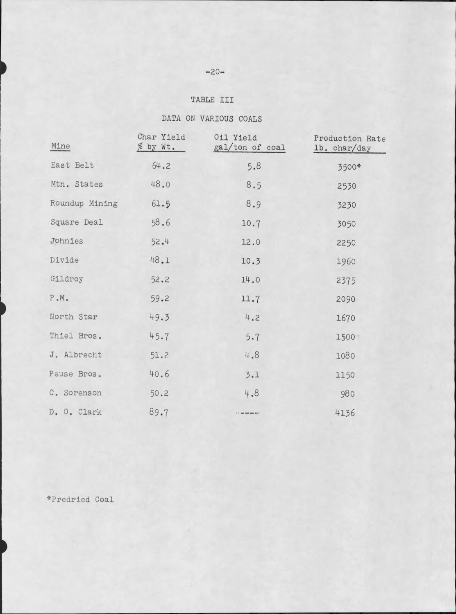### $-20-$

## TABLE III

# DATA ON VARIOUS COALS

| Mine                  | Char Yield<br>% by Wt. | 011 Yield<br>gal/ton of coal | Production Rate<br>lb. char/day |
|-----------------------|------------------------|------------------------------|---------------------------------|
| East Belt             | 64.2                   | 5.8                          | 3500*                           |
| Mtn. States           | 48.0                   | 8.5                          | 2530                            |
| Roundup Mining        | 61.5                   | 8.9                          | 3230                            |
| Square Deal           | 58.6                   | 10.7                         | 3050                            |
| Johnies               | 52.4                   | 12.0                         | 2250                            |
| Divide                | 48.1                   | 10.3                         | 1960                            |
| Gildroy               | 52.2                   | 14.0                         | 2375                            |
| ${\rm P}$ .<br>M $\!$ | 59.2                   | 11.7                         | 2090                            |
| North Star            | 49.3                   | 4.2                          | 1670                            |
| Thiel Bros.           | 45.7                   | 5.7                          | 1500                            |
| J. Albrecht           | 51.2                   | 4.8                          | 1080                            |
| Peuse Bros.           | 40.6                   | 3.1                          | 1150                            |
| C. Sorenson           | 50.2                   | 4.8                          | 980                             |
| D. O. Clark           | 89.7                   |                              | 4136                            |

\*Predried Coal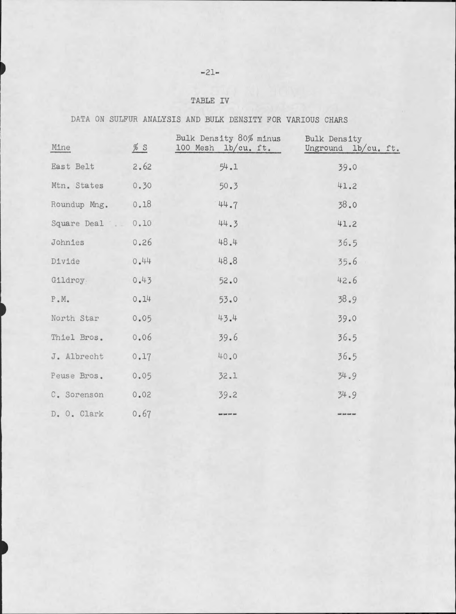# $-21-$

## TABLE IV

# DATA ON SULFUR ANALYSIS AND BULK DENSITY FOR VARIOUS CHARS

| Mine                  | % S  | Bulk Density 80% minus<br>100 Mesh 1b/cu. ft. | Bulk Density<br>Unground lb/cu. ft. |
|-----------------------|------|-----------------------------------------------|-------------------------------------|
| East Belt             | 2.62 | 54.1                                          | 39.0                                |
| Mtn. States           | 0.30 | 50.3                                          | 41.2                                |
| Roundup Mng.          | 0.18 | 44.7                                          | 38.0                                |
| Square Deal           | 0.10 | 44.3                                          | 41.2                                |
| Johnies               | 0.26 | 48.4                                          | 36.5                                |
| Divide                | 0.44 | 48.8                                          | 35.6                                |
| Gildroy.              | 0.43 | 52.0                                          | 42.6                                |
| $P_\bullet M_\bullet$ | 0.14 | 53.0                                          | 38.9                                |
| North Star            | 0.05 | 43.4                                          | 39.0                                |
| Thiel Bros.           | 0.06 | 39.6                                          | 36.5                                |
| J. Albrecht           | 0.17 | 40.0                                          | 36.5                                |
| Peuse Bros.           | 0.05 | 32.1                                          | 34.9                                |
| C. Sorenson           | 0.02 | 39.2                                          | 34.9                                |
| D. O. Clark           | 0.67 | as had not not                                | <b>Birt Jost cost had</b>           |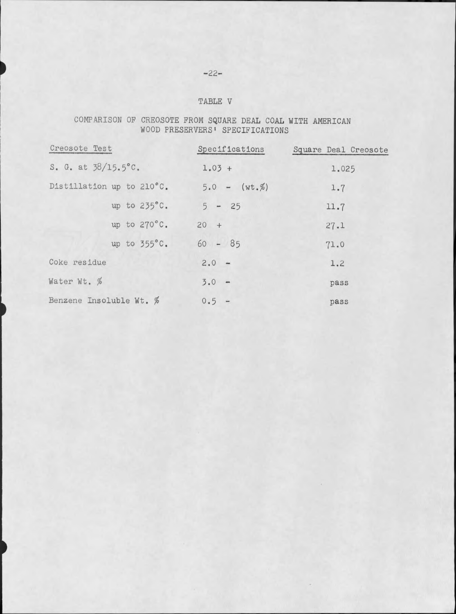# $-22-$

### TABLE V

### COMPARISON OF CREOSOTE FROM SQUARE DEAL COAL WITH AMERICAN WOOD PRESERVERS' SPECIFICATIONS

| Creosote Test                 | Specifications | Square Deal Creosote |
|-------------------------------|----------------|----------------------|
| S. G. at $38/15.5^{\circ}$ C. | $1.03 +$       | 1.025                |
| Distillation up to 210°C.     | $5.0 - (wt.%)$ | 1.7                  |
| up to $235^{\circ}$ C.        | $5 - 25$       | 11.7                 |
| up to 270°C.                  | $20 +$         | 27.1                 |
| up to $355^{\circ}$ C.        | $60 - 85$      | 71.0                 |
| Coke residue                  | $2.0 -$        | 1.2                  |
| Water Wt. %                   | $3.0 -$        | pass                 |
| Benzene Insoluble Wt. %       | $0.5 -$        | pass                 |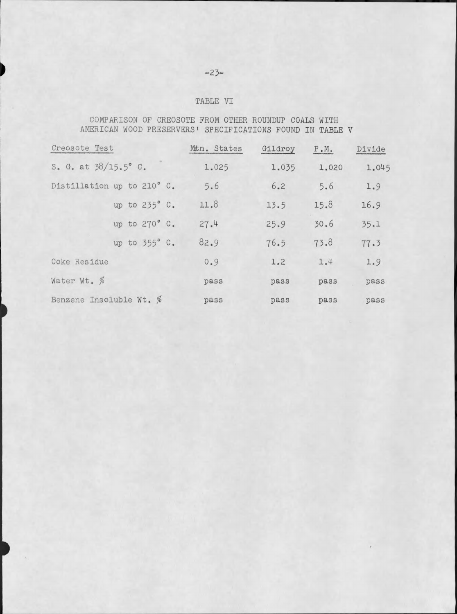### $-23-$

### TABLE VI

COMPARISON OF CREOSOTE FROM OTHER ROUNDUP COALS WITH AMERICAN WOOD PRESERVERS' SPECIFICATIONS FOUND IN TABLE V

| Creosote Test                 | Mtn. States | Gildroy | $P_{\bullet}M_{\bullet}$ | Divide |
|-------------------------------|-------------|---------|--------------------------|--------|
| S. G. at $38/15.5^{\circ}$ C. | 1.025       | 1.035   | 1.020                    | 1.045  |
| Distillation up to 210° C.    | 5.6         | 6.2     | 5.6                      | 1.9    |
| up to 235° C.                 | 11.8        | 13.5    | 15.8                     | 16.9   |
| up to 270° C.                 | 27.4        | 25.9    | 30.6                     | 35.1   |
| up to 355° C.                 | 82.9        | 76.5    | 73.8                     | 77.3   |
| Coke Residue                  | 0.9         | 1.2     | 1.4                      | 1.9    |
| Water Wt. %                   | pass        | pass    | pass                     | pass   |
| Benzene Insoluble Wt. %       | pass        | pass    | pass                     | pass   |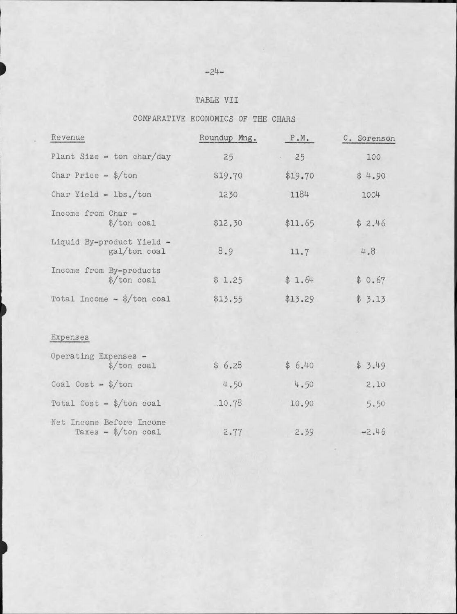# $-24-$

### TABLE VII

# COMPARATIVE ECONOMICS OF THE CHARS

| Revenue                                                    | Roundup Mng. | P.M.    | C. Sorensor |
|------------------------------------------------------------|--------------|---------|-------------|
| Plant Size - ton char/day                                  | 25           | 25      | 100         |
| Char Price - $\frac{1}{2}$ ton                             | \$19.70      | \$19.70 | \$4.90      |
| Char Yield - lbs./ton                                      | 1230         | 1184    | 1004        |
| Income from Char -<br>$\frac{\sqrt{2}}{2}$ ton coal        | \$12,30      | \$11.65 | \$2.46      |
| Liquid By-product Yield -<br>gal/ton coal                  | 8.9          | 11.7    | 4.8         |
| Income from By-products<br>$\frac{1}{2}$ ton coal          | \$1.25       | \$1.64  | \$0.67      |
| Total Income - $\frac{1}{2}$ ton coal                      | \$13.55      | \$13.29 | \$3.13      |
|                                                            |              |         |             |
| Expenses                                                   |              |         |             |
| Operating Expenses -<br>$\frac{1}{2}$ ton coal             | \$6.28       | \$6.40  | \$3.49      |
| Coal Cost - $\frac{1}{2}$ ton                              | 4.50         | 4.50    | 2.10        |
| Total Cost - $\frac{1}{2}$ /ton coal                       | .10.78       | 10.90   | 5.50        |
| Net Income Before Income<br>Taxes - $\frac{1}{2}$ ton coal | 2.77         | 2.39    | $-2.46$     |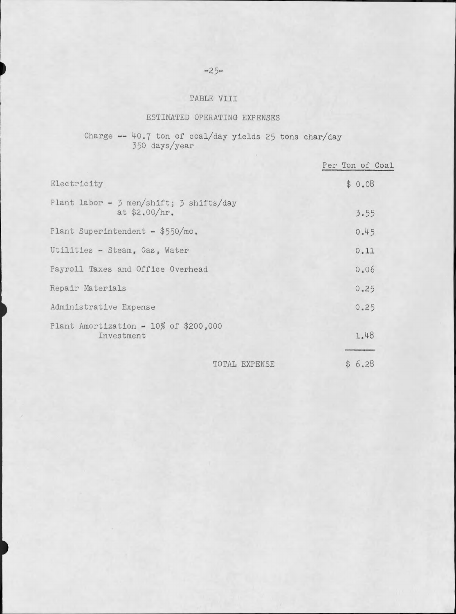### $-25-$

## TABLE VIII

### ESTIMATED OPERATING EXPENSES

# Charge --  $40.7$  ton of coal/day yields 25 tons char/day<br>350 days/year

|                                                          | Per Ton of Coal |
|----------------------------------------------------------|-----------------|
| Electricity                                              | \$0.08          |
| Plant labor - 3 men/shift; 3 shifts/day<br>at \$2.00/hr. | 3.55            |
| Plant Superintendent - \$550/mo.                         | 0.45            |
| Utilities - Steam, Gas, Water                            | 0.11            |
| Payroll Taxes and Office Overhead                        | 0.06            |
| Repair Materials                                         | 0.25            |
| Administrative Expense                                   | 0.25            |
| Plant Amortization - $10\%$ of \$200,000<br>Investment   | 1.48            |
| TOTAL EXPENSE                                            | \$6.28          |